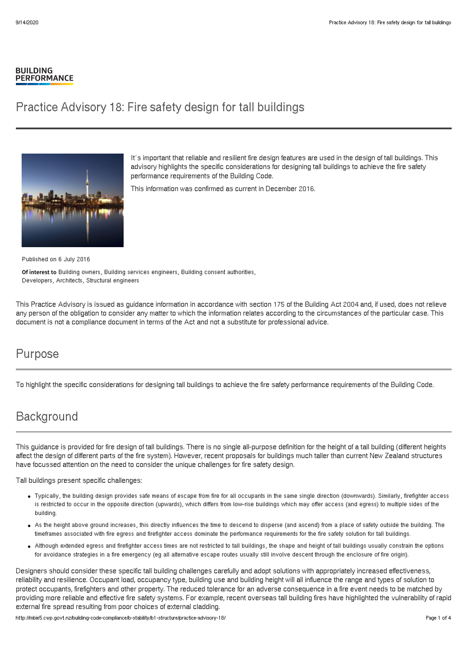#### **BUILDING PERFORMANCE**

# Practice Advisory 18: Fire safety design for tall buildings



It's important that reliable and resilient fire design features are used in the design of tall buildings. This advisory highlights the specific considerations for designing tall buildings to achieve the fire safety performance requirements of the Building Code.

This information was confirmed as current in December 2016.

Published on 6 July 2016

Of interest to Building owners, Building services engineers, Building consent authorities, Developers, Architects, Structural engineers

This Practice Advisory is issued as guidance information in accordance with section 175 of the Building Act 2004 and, if used, does not relieve any person of the obligation to consider any matter to which the information relates according to the circumstances of the particular case. This document is not a compliance document in terms of the Act and not a substitute for professional advice.

### Purpose

To highlight the specific considerations for designing tall buildings to achieve the fire safety performance requirements of the Building Code.

# **Background**

This guidance is provided for fire design of tall buildings. There is no single all-purpose definition for the height of a tall building (different heights affect the design of different parts of the fire system). However, recent proposals for buildings much taller than current New Zealand structures have focussed attention on the need to consider the unique challenges for fire safety design.

Tall buildings present specific challenges:

- Typically, the building design provides safe means of escape from fire for all occupants in the same single direction (downwards). Similarly, firefighter access is restricted to occur in the opposite direction (upwards), which differs from low-rise buildings which may offer access (and egress) to multiple sides of the building.
- As the height above ground increases, this directly influences the time to descend to disperse (and ascend) from a place of safety outside the building. The timeframes associated with fire egress and firefighter access dominate the performance requirements for the fire safety solution for tall buildings.
- Although extended egress and firefighter access times are not restricted to tall buildings, the shape and height of tall buildings usually constrain the options for avoidance strategies in a fire emergency (eg all alternative escape routes usually still involve descent through the enclosure of fire origin).

Designers should consider these specific tall building challenges carefully and adopt solutions with appropriately increased effectiveness, reliability and resilience. Occupant load, occupancy type, building use and building height will all influence the range and types of solution to protect occupants, firefighters and other property. The reduced tolerance for an adverse consequence in a fire event needs to be matched by providing more reliable and effective fire safety systems. For example, recent overseas tall building fires have highlighted the vulnerability of rapid external fire spread resulting from poor choices of external cladding.

http://mbie5.cwp.govt.nz/building-code-compliance/b-stability/b1-structure/practice-advisory-18/ Page 1 of 4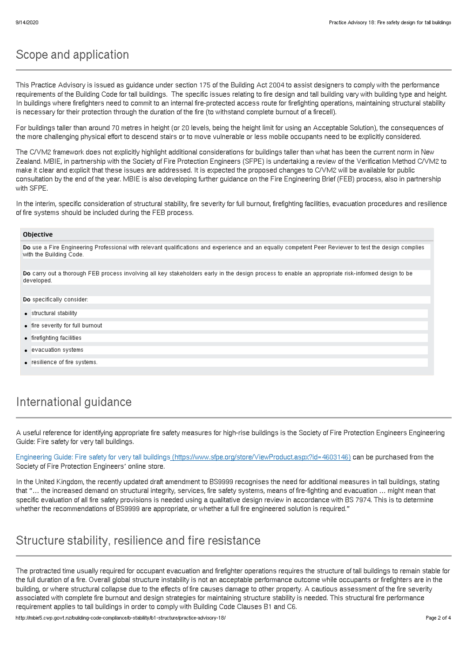# Scope and application

This Practice Advisory is issued as guidance under section 175 of the Building Act 2004 to assist designers to comply with the performance requirements of the Building Code for tall buildings. The specific issues relating to fire design and tall building vary with building type and height. In buildings where firefighters need to commit to an internal fire-protected access route for firefighting operations, maintaining structural stability is necessary for their protection through the duration of the fire (to withstand complete burnout of a firecell).

For buildings taller than around 70 metres in height (or 20 levels, being the height limit for using an Acceptable Solution), the consequences of the more challenging physical effort to descend stairs or to move vulnerable or less mobile occupants need to be explicitly considered.

The C/VM2 framework does not explicitly highlight additional considerations for buildings taller than what has been the current norm in New Zealand. MBIE, in partnership with the Society of Fire Protection Engineers (SFPE) is undertaking a review of the Verification Method C/VM2 to make it clear and explicit that these issues are addressed. It is expected the proposed changes to C/VM2 will be available for public consultation by the end of the year. MBIE is also developing further guidance on the Fire Engineering Brief (FEB) process, also in partnership with SFPE.

In the interim, specific consideration of structural stability, fire severity for full burnout, firefighting facilities, evacuation procedures and resilience of fire systems should be included during the FEB process.

#### **Objective**

Do use a Fire Engineering Professional with relevant qualifications and experience and an equally competent Peer Reviewer to test the design complies with the Building Code.

Do carry out a thorough FEB process involving all key stakeholders early in the design process to enable an appropriate risk-informed design to be developed.

Do specifically consider

- **•** structural stability
- fire severity for full burnout
- **•** firefighting facilities
- evacuation systems
- resilience of fire systems.

## International guidance

A useful reference for identifying appropriate fire safety measures for high-rise buildings is the Society of Fire Protection Engineers Engineering Guide: Fire safety for very tall buildings.

Engineering Guide: Fire safety for very tall buildings [\(https://www.sfpe.org/store/ViewProduct.aspx?id=4603146\)](https://www.sfpe.org/store/ViewProduct.aspx?id=4603146) can be purchased from the Society of Fire Protection Engineers' online store.

In the United Kingdom, the recently updated draft amendment to BS9999 recognises the need for additional measures in tall buildings, stating that "… the increased demand on structural integrity, services, fire safety systems, means of fire-fighting and evacuation … might mean that specific evaluation of all fire safety provisions is needed using a qualitative design review in accordance with BS 7974. This is to determine whether the recommendations of BS9999 are appropriate, or whether a full fire engineered solution is required."

### Structure stability, resilience and fire resistance

The protracted time usually required for occupant evacuation and firefighter operations requires the structure of tall buildings to remain stable for the full duration of a fire. Overall global structure instability is not an acceptable performance outcome while occupants or firefighters are in the building, or where structural collapse due to the effects of fire causes damage to other property. A cautious assessment of the fire severity associated with complete fire burnout and design strategies for maintaining structure stability is needed. This structural fire performance requirement applies to tall buildings in order to comply with Building Code Clauses B1 and C6.

http://mbie5.cwp.govt.nz/building-code-compliance/b-stability/b1-structure/practice-advisory-18/ Page 2 of 4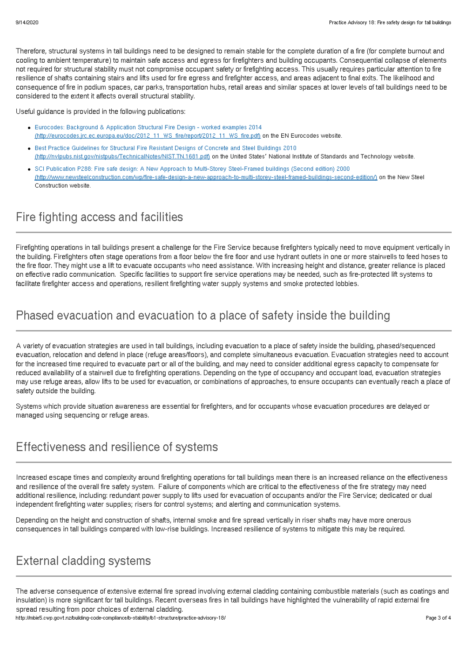Therefore, structural systems in tall buildings need to be designed to remain stable for the complete duration of a fire (for complete burnout and cooling to ambient temperature) to maintain safe access and egress for firefighters and building occupants. Consequential collapse of elements not required for structural stability must not compromise occupant safety or firefighting access. This usually requires particular attention to fire resilience of shafts containing stairs and lifts used for fire egress and firefighter access, and areas adjacent to final exits. The likelihood and consequence of fire in podium spaces, car parks, transportation hubs, retail areas and similar spaces at lower levels of tall buildings need to be considered to the extent it affects overall structural stability.

Useful guidance is provided in the following publications:

- Eurocodes: Background & Application Structural Fire Design worked examples 2014 [\(http://eurocodes.jrc.ec.europa.eu/doc/2012\\_11\\_WS\\_fire/report/2012\\_11\\_WS\\_fire.pdf\)](http://eurocodes.jrc.ec.europa.eu/doc/2012_11_WS_fire/report/2012_11_WS_fire.pdf) on the EN Eurocodes website.
- Best Practice Guidelines for Structural Fire Resistant Designs of Concrete and Steel Buildings 2010 [\(http://nvlpubs.nist.gov/nistpubs/TechnicalNotes/NIST.TN.1681.pdf\)](http://nvlpubs.nist.gov/nistpubs/TechnicalNotes/NIST.TN.1681.pdf) on the United States' National Institute of Standards and Technology website.
- SCI Publication P288: Fire safe design: A New Approach to Multi-Storey Steel-Framed buildings (Second edition) 2000 [\(http://www.newsteelconstruction.com/wp/fire-safe-design-a-new-approach-to-multi-storey-steel-framed-buildings-second-edition/\)](http://www.newsteelconstruction.com/wp/fire-safe-design-a-new-approach-to-multi-storey-steel-framed-buildings-second-edition/) on the New Steel Construction website.

# Fire fighting access and facilities

Firefighting operations in tall buildings present a challenge for the Fire Service because firefighters typically need to move equipment vertically in the building. Firefighters often stage operations from a floor below the fire floor and use hydrant outlets in one or more stairwells to feed hoses to the fire floor. They might use a lift to evacuate occupants who need assistance. With increasing height and distance, greater reliance is placed on effective radio communication. Specific facilities to support fire service operations may be needed, such as fire-protected lift systems to facilitate firefighter access and operations, resilient firefighting water supply systems and smoke protected lobbies.

## Phased evacuation and evacuation to a place of safety inside the building

A variety of evacuation strategies are used in tall buildings, including evacuation to a place of safety inside the building, phased/sequenced evacuation, relocation and defend in place (refuge areas/floors), and complete simultaneous evacuation. Evacuation strategies need to account for the increased time required to evacuate part or all of the building, and may need to consider additional egress capacity to compensate for reduced availability of a stairwell due to firefighting operations. Depending on the type of occupancy and occupant load, evacuation strategies may use refuge areas, allow lifts to be used for evacuation, or combinations of approaches, to ensure occupants can eventually reach a place of safety outside the building.

Systems which provide situation awareness are essential for firefighters, and for occupants whose evacuation procedures are delayed or managed using sequencing or refuge areas.

## Effectiveness and resilience of systems

Increased escape times and complexity around firefighting operations for tall buildings mean there is an increased reliance on the effectiveness and resilience of the overall fire safety system. Failure of components which are critical to the effectiveness of the fire strategy may need additional resilience, including: redundant power supply to lifts used for evacuation of occupants and/or the Fire Service; dedicated or dual independent firefighting water supplies; risers for control systems; and alerting and communication systems.

Depending on the height and construction of shafts, internal smoke and fire spread vertically in riser shafts may have more onerous consequences in tall buildings compared with low-rise buildings. Increased resilience of systems to mitigate this may be required.

# External cladding systems

The adverse consequence of extensive external fire spread involving external cladding containing combustible materials (such as coatings and insulation) is more significant for tall buildings. Recent overseas fires in tall buildings have highlighted the vulnerability of rapid external fire spread resulting from poor choices of external cladding.

http://mbie5.cwp.govt.nz/building-code-compliance/b-stability/b1-structure/practice-advisory-18/ Page 3 of 4